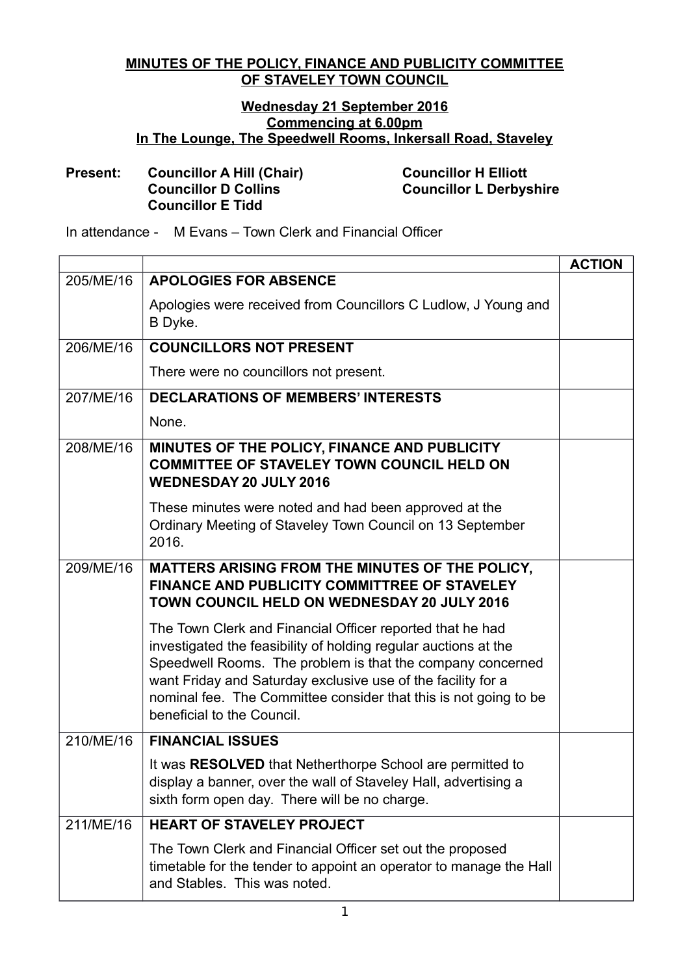## **MINUTES OF THE POLICY, FINANCE AND PUBLICITY COMMITTEE OF STAVELEY TOWN COUNCIL**

## **Wednesday 21 September 2016 Commencing at 6.00pm In The Lounge, The Speedwell Rooms, Inkersall Road, Staveley**

## **Present: Councillor A Hill (Chair) Councillor H Elliott Councillor E Tidd**

**Councillor D Collins Councillor L Derbyshire**

In attendance - M Evans – Town Clerk and Financial Officer

|           |                                                                                                                                                                                                                                                                                                                                                              | <b>ACTION</b> |
|-----------|--------------------------------------------------------------------------------------------------------------------------------------------------------------------------------------------------------------------------------------------------------------------------------------------------------------------------------------------------------------|---------------|
| 205/ME/16 | <b>APOLOGIES FOR ABSENCE</b>                                                                                                                                                                                                                                                                                                                                 |               |
|           | Apologies were received from Councillors C Ludlow, J Young and<br>B Dyke.                                                                                                                                                                                                                                                                                    |               |
| 206/ME/16 | <b>COUNCILLORS NOT PRESENT</b>                                                                                                                                                                                                                                                                                                                               |               |
|           | There were no councillors not present.                                                                                                                                                                                                                                                                                                                       |               |
| 207/ME/16 | <b>DECLARATIONS OF MEMBERS' INTERESTS</b>                                                                                                                                                                                                                                                                                                                    |               |
|           | None.                                                                                                                                                                                                                                                                                                                                                        |               |
| 208/ME/16 | MINUTES OF THE POLICY, FINANCE AND PUBLICITY<br><b>COMMITTEE OF STAVELEY TOWN COUNCIL HELD ON</b><br><b>WEDNESDAY 20 JULY 2016</b>                                                                                                                                                                                                                           |               |
|           | These minutes were noted and had been approved at the<br>Ordinary Meeting of Staveley Town Council on 13 September<br>2016.                                                                                                                                                                                                                                  |               |
| 209/ME/16 | MATTERS ARISING FROM THE MINUTES OF THE POLICY,<br>FINANCE AND PUBLICITY COMMITTREE OF STAVELEY<br><b>TOWN COUNCIL HELD ON WEDNESDAY 20 JULY 2016</b>                                                                                                                                                                                                        |               |
|           | The Town Clerk and Financial Officer reported that he had<br>investigated the feasibility of holding regular auctions at the<br>Speedwell Rooms. The problem is that the company concerned<br>want Friday and Saturday exclusive use of the facility for a<br>nominal fee. The Committee consider that this is not going to be<br>beneficial to the Council. |               |
| 210/ME/16 | <b>FINANCIAL ISSUES</b>                                                                                                                                                                                                                                                                                                                                      |               |
|           | It was <b>RESOLVED</b> that Netherthorpe School are permitted to<br>display a banner, over the wall of Staveley Hall, advertising a<br>sixth form open day. There will be no charge.                                                                                                                                                                         |               |
| 211/ME/16 | <b>HEART OF STAVELEY PROJECT</b>                                                                                                                                                                                                                                                                                                                             |               |
|           | The Town Clerk and Financial Officer set out the proposed<br>timetable for the tender to appoint an operator to manage the Hall<br>and Stables. This was noted.                                                                                                                                                                                              |               |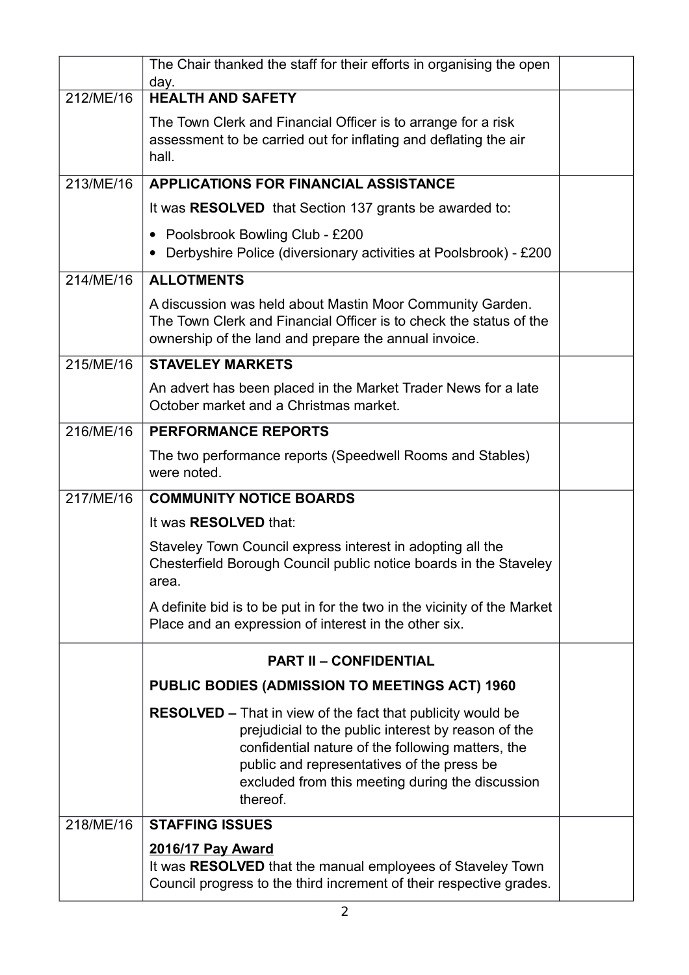|           | The Chair thanked the staff for their efforts in organising the open<br>day.                                                                                                                                                                                                                 |  |
|-----------|----------------------------------------------------------------------------------------------------------------------------------------------------------------------------------------------------------------------------------------------------------------------------------------------|--|
| 212/ME/16 | <b>HEALTH AND SAFETY</b>                                                                                                                                                                                                                                                                     |  |
|           | The Town Clerk and Financial Officer is to arrange for a risk<br>assessment to be carried out for inflating and deflating the air<br>hall.                                                                                                                                                   |  |
| 213/ME/16 | <b>APPLICATIONS FOR FINANCIAL ASSISTANCE</b>                                                                                                                                                                                                                                                 |  |
|           | It was <b>RESOLVED</b> that Section 137 grants be awarded to:                                                                                                                                                                                                                                |  |
|           | • Poolsbrook Bowling Club - £200<br>Derbyshire Police (diversionary activities at Poolsbrook) - £200<br>$\bullet$                                                                                                                                                                            |  |
| 214/ME/16 | <b>ALLOTMENTS</b>                                                                                                                                                                                                                                                                            |  |
|           | A discussion was held about Mastin Moor Community Garden.<br>The Town Clerk and Financial Officer is to check the status of the<br>ownership of the land and prepare the annual invoice.                                                                                                     |  |
| 215/ME/16 | <b>STAVELEY MARKETS</b>                                                                                                                                                                                                                                                                      |  |
|           | An advert has been placed in the Market Trader News for a late<br>October market and a Christmas market.                                                                                                                                                                                     |  |
| 216/ME/16 | <b>PERFORMANCE REPORTS</b>                                                                                                                                                                                                                                                                   |  |
|           | The two performance reports (Speedwell Rooms and Stables)<br>were noted.                                                                                                                                                                                                                     |  |
| 217/ME/16 | <b>COMMUNITY NOTICE BOARDS</b>                                                                                                                                                                                                                                                               |  |
|           | It was <b>RESOLVED</b> that:                                                                                                                                                                                                                                                                 |  |
|           | Staveley Town Council express interest in adopting all the<br>Chesterfield Borough Council public notice boards in the Staveley<br>area.                                                                                                                                                     |  |
|           | A definite bid is to be put in for the two in the vicinity of the Market<br>Place and an expression of interest in the other six.                                                                                                                                                            |  |
|           | <b>PART II - CONFIDENTIAL</b>                                                                                                                                                                                                                                                                |  |
|           | PUBLIC BODIES (ADMISSION TO MEETINGS ACT) 1960                                                                                                                                                                                                                                               |  |
|           | <b>RESOLVED – That in view of the fact that publicity would be</b><br>prejudicial to the public interest by reason of the<br>confidential nature of the following matters, the<br>public and representatives of the press be<br>excluded from this meeting during the discussion<br>thereof. |  |
| 218/ME/16 | <b>STAFFING ISSUES</b>                                                                                                                                                                                                                                                                       |  |
|           | <b>2016/17 Pay Award</b><br>It was RESOLVED that the manual employees of Staveley Town<br>Council progress to the third increment of their respective grades.                                                                                                                                |  |